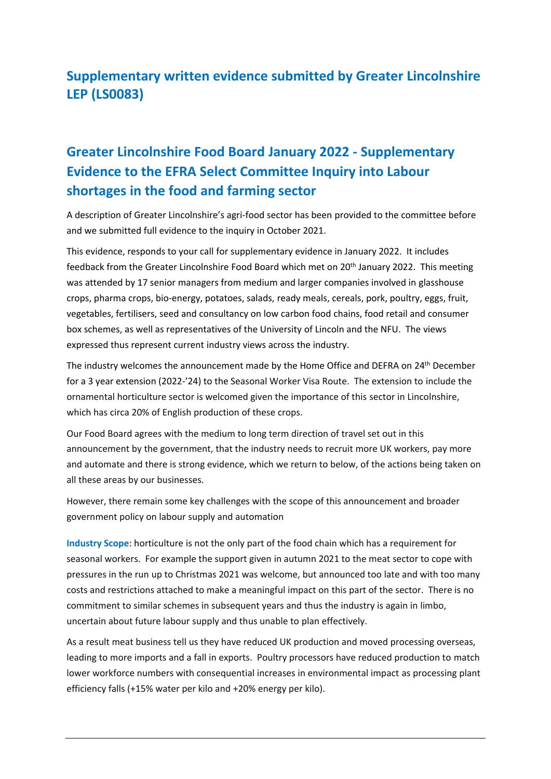## **Supplementary written evidence submitted by Greater Lincolnshire LEP (LS0083)**

## **Greater Lincolnshire Food Board January 2022 - Supplementary Evidence to the EFRA Select Committee Inquiry into Labour shortages in the food and farming sector**

A description of Greater Lincolnshire's agri-food sector has been provided to the committee before and we submitted full evidence to the inquiry in October 2021.

This evidence, responds to your call for supplementary evidence in January 2022. It includes feedback from the Greater Lincolnshire Food Board which met on 20<sup>th</sup> January 2022. This meeting was attended by 17 senior managers from medium and larger companies involved in glasshouse crops, pharma crops, bio-energy, potatoes, salads, ready meals, cereals, pork, poultry, eggs, fruit, vegetables, fertilisers, seed and consultancy on low carbon food chains, food retail and consumer box schemes, as well as representatives of the University of Lincoln and the NFU. The views expressed thus represent current industry views across the industry.

The industry welcomes the announcement made by the Home Office and DEFRA on 24th December for a 3 year extension (2022-'24) to the Seasonal Worker Visa Route. The extension to include the ornamental horticulture sector is welcomed given the importance of this sector in Lincolnshire, which has circa 20% of English production of these crops.

Our Food Board agrees with the medium to long term direction of travel set out in this announcement by the government, that the industry needs to recruit more UK workers, pay more and automate and there is strong evidence, which we return to below, of the actions being taken on all these areas by our businesses.

However, there remain some key challenges with the scope of this announcement and broader government policy on labour supply and automation

**Industry Scope**: horticulture is not the only part of the food chain which has a requirement for seasonal workers. For example the support given in autumn 2021 to the meat sector to cope with pressures in the run up to Christmas 2021 was welcome, but announced too late and with too many costs and restrictions attached to make a meaningful impact on this part of the sector. There is no commitment to similar schemes in subsequent years and thus the industry is again in limbo, uncertain about future labour supply and thus unable to plan effectively.

As a result meat business tell us they have reduced UK production and moved processing overseas, leading to more imports and a fall in exports. Poultry processors have reduced production to match lower workforce numbers with consequential increases in environmental impact as processing plant efficiency falls (+15% water per kilo and +20% energy per kilo).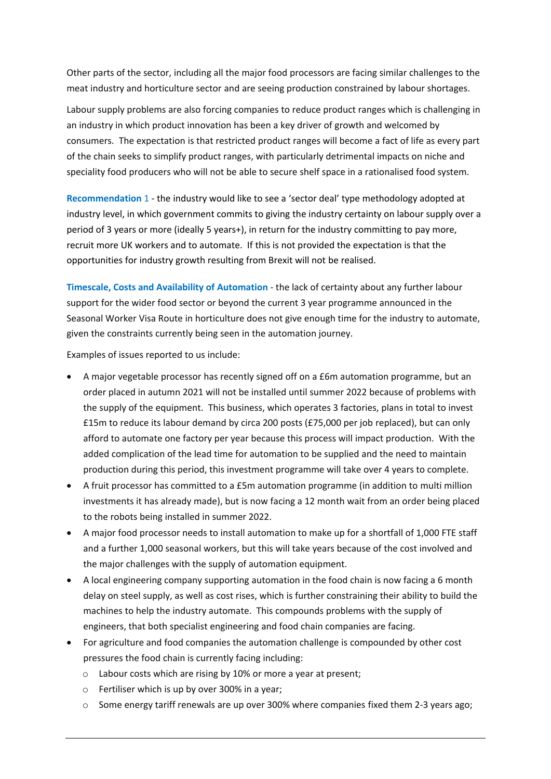Other parts of the sector, including all the major food processors are facing similar challenges to the meat industry and horticulture sector and are seeing production constrained by labour shortages.

Labour supply problems are also forcing companies to reduce product ranges which is challenging in an industry in which product innovation has been a key driver of growth and welcomed by consumers. The expectation is that restricted product ranges will become a fact of life as every part of the chain seeks to simplify product ranges, with particularly detrimental impacts on niche and speciality food producers who will not be able to secure shelf space in a rationalised food system.

**Recommendation** 1 - the industry would like to see a 'sector deal' type methodology adopted at industry level, in which government commits to giving the industry certainty on labour supply over a period of 3 years or more (ideally 5 years+), in return for the industry committing to pay more, recruit more UK workers and to automate. If this is not provided the expectation is that the opportunities for industry growth resulting from Brexit will not be realised.

**Timescale, Costs and Availability of Automation** - the lack of certainty about any further labour support for the wider food sector or beyond the current 3 year programme announced in the Seasonal Worker Visa Route in horticulture does not give enough time for the industry to automate, given the constraints currently being seen in the automation journey.

Examples of issues reported to us include:

- A major vegetable processor has recently signed off on a £6m automation programme, but an order placed in autumn 2021 will not be installed until summer 2022 because of problems with the supply of the equipment. This business, which operates 3 factories, plans in total to invest £15m to reduce its labour demand by circa 200 posts (£75,000 per job replaced), but can only afford to automate one factory per year because this process will impact production. With the added complication of the lead time for automation to be supplied and the need to maintain production during this period, this investment programme will take over 4 years to complete.
- A fruit processor has committed to a £5m automation programme (in addition to multi million investments it has already made), but is now facing a 12 month wait from an order being placed to the robots being installed in summer 2022.
- A major food processor needs to install automation to make up for a shortfall of 1,000 FTE staff and a further 1,000 seasonal workers, but this will take years because of the cost involved and the major challenges with the supply of automation equipment.
- A local engineering company supporting automation in the food chain is now facing a 6 month delay on steel supply, as well as cost rises, which is further constraining their ability to build the machines to help the industry automate. This compounds problems with the supply of engineers, that both specialist engineering and food chain companies are facing.
- For agriculture and food companies the automation challenge is compounded by other cost pressures the food chain is currently facing including:
	- o Labour costs which are rising by 10% or more a year at present;
	- o Fertiliser which is up by over 300% in a year;
	- $\circ$  Some energy tariff renewals are up over 300% where companies fixed them 2-3 years ago;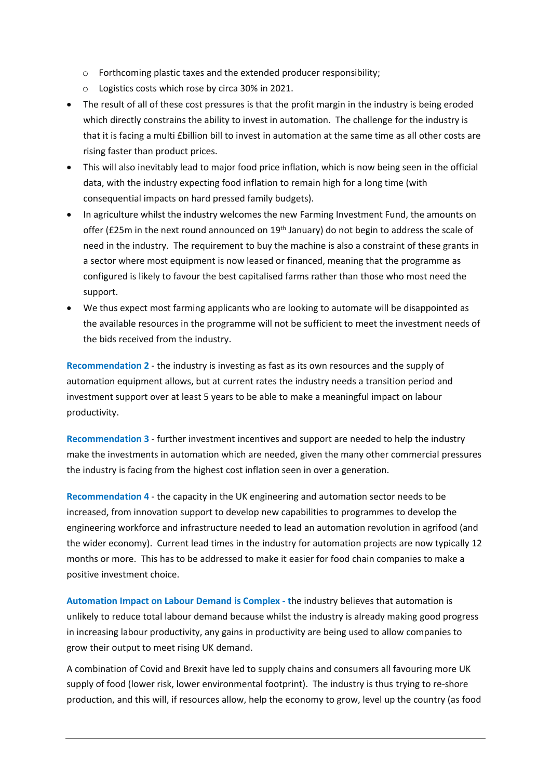- o Forthcoming plastic taxes and the extended producer responsibility;
- o Logistics costs which rose by circa 30% in 2021.
- The result of all of these cost pressures is that the profit margin in the industry is being eroded which directly constrains the ability to invest in automation. The challenge for the industry is that it is facing a multi £billion bill to invest in automation at the same time as all other costs are rising faster than product prices.
- This will also inevitably lead to major food price inflation, which is now being seen in the official data, with the industry expecting food inflation to remain high for a long time (with consequential impacts on hard pressed family budgets).
- In agriculture whilst the industry welcomes the new Farming Investment Fund, the amounts on offer (£25m in the next round announced on 19<sup>th</sup> January) do not begin to address the scale of need in the industry. The requirement to buy the machine is also a constraint of these grants in a sector where most equipment is now leased or financed, meaning that the programme as configured is likely to favour the best capitalised farms rather than those who most need the support.
- We thus expect most farming applicants who are looking to automate will be disappointed as the available resources in the programme will not be sufficient to meet the investment needs of the bids received from the industry.

**Recommendation 2** - the industry is investing as fast as its own resources and the supply of automation equipment allows, but at current rates the industry needs a transition period and investment support over at least 5 years to be able to make a meaningful impact on labour productivity.

**Recommendation 3** - further investment incentives and support are needed to help the industry make the investments in automation which are needed, given the many other commercial pressures the industry is facing from the highest cost inflation seen in over a generation.

**Recommendation 4** - the capacity in the UK engineering and automation sector needs to be increased, from innovation support to develop new capabilities to programmes to develop the engineering workforce and infrastructure needed to lead an automation revolution in agrifood (and the wider economy). Current lead times in the industry for automation projects are now typically 12 months or more. This has to be addressed to make it easier for food chain companies to make a positive investment choice.

**Automation Impact on Labour Demand is Complex - t**he industry believes that automation is unlikely to reduce total labour demand because whilst the industry is already making good progress in increasing labour productivity, any gains in productivity are being used to allow companies to grow their output to meet rising UK demand.

A combination of Covid and Brexit have led to supply chains and consumers all favouring more UK supply of food (lower risk, lower environmental footprint). The industry is thus trying to re-shore production, and this will, if resources allow, help the economy to grow, level up the country (as food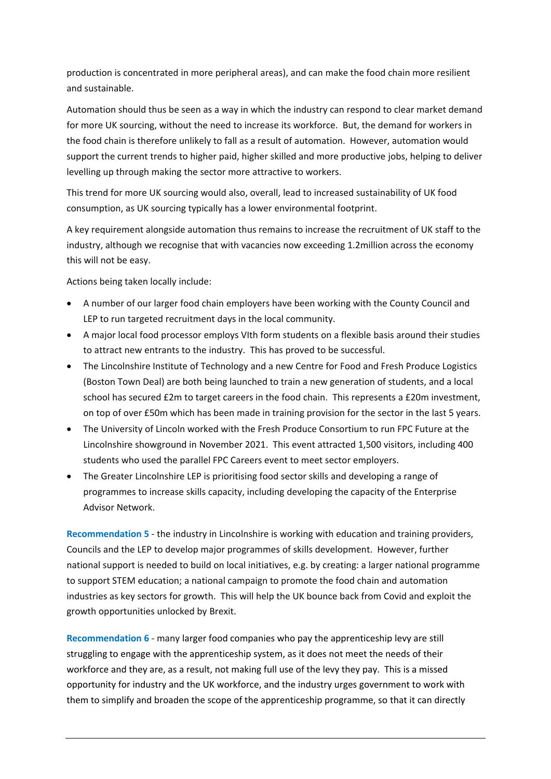production is concentrated in more peripheral areas), and can make the food chain more resilient and sustainable.

Automation should thus be seen as a way in which the industry can respond to clear market demand for more UK sourcing, without the need to increase its workforce. But, the demand for workers in the food chain is therefore unlikely to fall as a result of automation. However, automation would support the current trends to higher paid, higher skilled and more productive jobs, helping to deliver levelling up through making the sector more attractive to workers.

This trend for more UK sourcing would also, overall, lead to increased sustainability of UK food consumption, as UK sourcing typically has a lower environmental footprint.

A key requirement alongside automation thus remains to increase the recruitment of UK staff to the industry, although we recognise that with vacancies now exceeding 1.2million across the economy this will not be easy.

Actions being taken locally include:

- A number of our larger food chain employers have been working with the County Council and LEP to run targeted recruitment days in the local community.
- A major local food processor employs VIth form students on a flexible basis around their studies to attract new entrants to the industry. This has proved to be successful.
- The Lincolnshire Institute of Technology and a new Centre for Food and Fresh Produce Logistics (Boston Town Deal) are both being launched to train a new generation of students, and a local school has secured £2m to target careers in the food chain. This represents a £20m investment, on top of over £50m which has been made in training provision for the sector in the last 5 years.
- The University of Lincoln worked with the Fresh Produce Consortium to run FPC Future at the Lincolnshire showground in November 2021. This event attracted 1,500 visitors, including 400 students who used the parallel FPC Careers event to meet sector employers.
- The Greater Lincolnshire LEP is prioritising food sector skills and developing a range of programmes to increase skills capacity, including developing the capacity of the Enterprise Advisor Network.

**Recommendation 5** - the industry in Lincolnshire is working with education and training providers, Councils and the LEP to develop major programmes of skills development. However, further national support is needed to build on local initiatives, e.g. by creating: a larger national programme to support STEM education; a national campaign to promote the food chain and automation industries as key sectors for growth. This will help the UK bounce back from Covid and exploit the growth opportunities unlocked by Brexit.

**Recommendation 6** - many larger food companies who pay the apprenticeship levy are still struggling to engage with the apprenticeship system, as it does not meet the needs of their workforce and they are, as a result, not making full use of the levy they pay. This is a missed opportunity for industry and the UK workforce, and the industry urges government to work with them to simplify and broaden the scope of the apprenticeship programme, so that it can directly